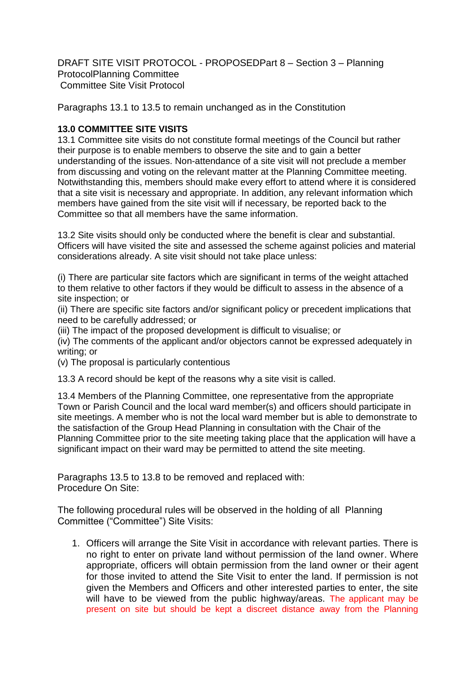DRAFT SITE VISIT PROTOCOL - PROPOSEDPart 8 – Section 3 – Planning ProtocolPlanning Committee Committee Site Visit Protocol

Paragraphs 13.1 to 13.5 to remain unchanged as in the Constitution

## **13.0 COMMITTEE SITE VISITS**

13.1 Committee site visits do not constitute formal meetings of the Council but rather their purpose is to enable members to observe the site and to gain a better understanding of the issues. Non-attendance of a site visit will not preclude a member from discussing and voting on the relevant matter at the Planning Committee meeting. Notwithstanding this, members should make every effort to attend where it is considered that a site visit is necessary and appropriate. In addition, any relevant information which members have gained from the site visit will if necessary, be reported back to the Committee so that all members have the same information.

13.2 Site visits should only be conducted where the benefit is clear and substantial. Officers will have visited the site and assessed the scheme against policies and material considerations already. A site visit should not take place unless:

(i) There are particular site factors which are significant in terms of the weight attached to them relative to other factors if they would be difficult to assess in the absence of a site inspection; or

(ii) There are specific site factors and/or significant policy or precedent implications that need to be carefully addressed; or

(iii) The impact of the proposed development is difficult to visualise; or

(iv) The comments of the applicant and/or objectors cannot be expressed adequately in writing; or

(v) The proposal is particularly contentious

13.3 A record should be kept of the reasons why a site visit is called.

13.4 Members of the Planning Committee, one representative from the appropriate Town or Parish Council and the local ward member(s) and officers should participate in site meetings. A member who is not the local ward member but is able to demonstrate to the satisfaction of the Group Head Planning in consultation with the Chair of the Planning Committee prior to the site meeting taking place that the application will have a significant impact on their ward may be permitted to attend the site meeting.

Paragraphs 13.5 to 13.8 to be removed and replaced with: Procedure On Site:

The following procedural rules will be observed in the holding of all Planning Committee ("Committee") Site Visits:

1. Officers will arrange the Site Visit in accordance with relevant parties. There is no right to enter on private land without permission of the land owner. Where appropriate, officers will obtain permission from the land owner or their agent for those invited to attend the Site Visit to enter the land. If permission is not given the Members and Officers and other interested parties to enter, the site will have to be viewed from the public highway/areas. The applicant may be present on site but should be kept a discreet distance away from the Planning